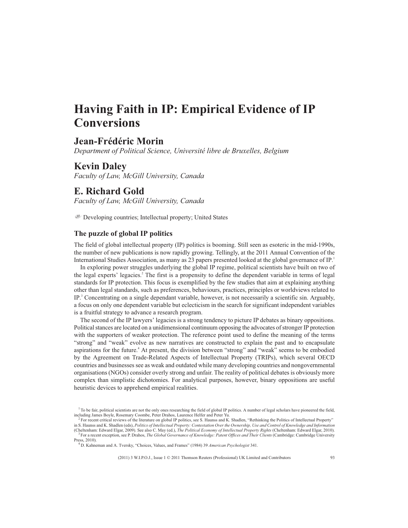# **Having Faith in IP: Empirical Evidence of IP Conversions**

# **Jean-Frédéric Morin**

*Department of Political Science, Université libre de Bruxelles, Belgium*

# **Kevin Daley**

*Faculty of Law, McGill University, Canada*

# **E. Richard Gold**

*Faculty of Law, McGill University, Canada*

Developing countries; Intellectual property; United States

### **The puzzle of global IP politics**

The field of global intellectual property (IP) politics is booming. Still seen as esoteric in the mid-1990s, the number of new publications is now rapidly growing. Tellingly, at the 2011 Annual Convention of the International Studies Association, as many as 23 papers presented looked at the global governance of IP.<sup>1</sup>

In exploring power struggles underlying the global IP regime, political scientists have built on two of the legal experts' legacies.<sup>2</sup> The first is a propensity to define the dependent variable in terms of legal standards for IP protection. This focus is exemplified by the few studies that aim at explaining anything other than legal standards, such as preferences, behaviours, practices, principles or worldviews related to IP.<sup>3</sup> Concentrating on a single dependant variable, however, is not necessarily a scientific sin. Arguably, a focus on only one dependent variable but eclecticism in the search for significant independent variables is a fruitful strategy to advance a research program.

The second of the IP lawyers' legacies is a strong tendency to picture IP debates as binary oppositions. Political stances are located on a unidimensional continuum opposing the advocates of stronger IP protection with the supporters of weaker protection. The reference point used to define the meaning of the terms "strong" and "weak" evolve as new narratives are constructed to explain the past and to encapsulate aspirations for the future.<sup>4</sup> At present, the division between "strong" and "weak" seems to be embodied by the Agreement on Trade-Related Aspects of Intellectual Property (TRIPs), which several OECD countries and businesses see as weak and outdated while many developing countries and nongovernmental organisations (NGOs) consider overly strong and unfair. The reality of political debates is obviously more complex than simplistic dichotomies. For analytical purposes, however, binary oppositions are useful heuristic devices to apprehend empirical realities.

 $1$  To be fair, political scientists are not the only ones researching the field of global IP politics. A number of legal scholars have pioneered the field, including James Boyle, Rosemary Coombe, Peter Drahos, Laurence Helfer and Peter Yu.

 $^2$  For recent critical reviews of the literature on global IP politics, see S. Haunss and K. Shadlen, "Rethinking the Politics of Intellectual Property" in S. Haunss and K. Shadlen (eds), *Politics of Intellectual Property: Contestation Over the Ownership, Use and Control of Knowledge and Information*

<sup>(</sup>Cheltenham: Edward Elgar, 2009). See also C. May (ed.), *The Political Economy of Intellectual Property Rights* (Cheltenham: Edward Elgar, 2010). <sup>3</sup> For a recent exception, see P. Drahos, *The Global Governance of Knowledge: Patent Offices and Their Clients* (Cambridge: Cambridge University Press, 2010).

<sup>4</sup> D. Kahneman and A. Tversky, "Choices, Values, and Frames" (1984) 39 *American Psychologist* 341.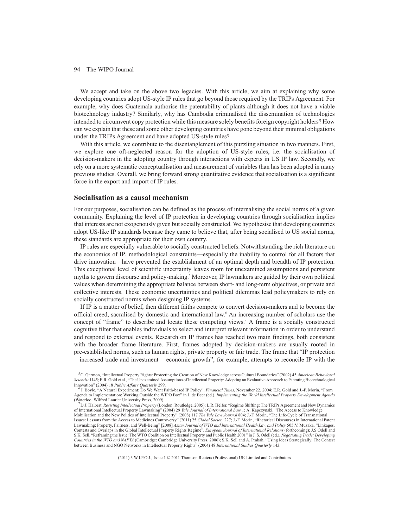We accept and take on the above two legacies. With this article, we aim at explaining why some developing countries adopt US-style IP rules that go beyond those required by the TRIPs Agreement. For example, why does Guatemala authorise the patentability of plants although it does not have a viable biotechnology industry? Similarly, why has Cambodia criminalised the dissemination of technologies intended to circumvent copy protection while this measure solely benefits foreign copyright holders? How can we explain that these and some other developing countries have gone beyond their minimal obligations under the TRIPs Agreement and have adopted US-style rules?

With this article, we contribute to the disentanglement of this puzzling situation in two manners. First, we explore one oft-neglected reason for the adoption of US-style rules, i.e. the socialisation of decision-makers in the adopting country through interactions with experts in US IP law. Secondly, we rely on a more systematic conceptualisation and measurement of variables than has been adopted in many previous studies. Overall, we bring forward strong quantitative evidence that socialisation is a significant force in the export and import of IP rules.

### **Socialisation as a causal mechanism**

For our purposes, socialisation can be defined as the process of internalising the social norms of a given community. Explaining the level of IP protection in developing countries through socialisation implies that interests are not exogenously given but socially constructed. We hypothesise that developing countries adopt US-like IP standards because they came to believe that, after being socialised to US social norms, these standards are appropriate for their own country.

IP rules are especially vulnerable to socially constructed beliefs. Notwithstanding the rich literature on the economics of IP, methodological constraints—especially the inability to control for all factors that drive innovation—have prevented the establishment of an optimal depth and breadth of IP protection. This exceptional level of scientific uncertainty leaves room for unexamined assumptions and persistent myths to govern discourse and policy-making.<sup>5</sup> Moreover, IP lawmakers are guided by their own political values when determining the appropriate balance between short- and long-term objectives, or private and collective interests. These economic uncertainties and political dilemmas lead policymakers to rely on socially constructed norms when designing IP systems.

If IP is a matter of belief, then different faiths compete to convert decision-makers and to become the official creed, sacralised by domestic and international law.<sup>6</sup> An increasing number of scholars use the concept of "frame" to describe and locate these competing views.<sup>7</sup> A frame is a socially constructed cognitive filter that enables individuals to select and interpret relevant information in order to understand and respond to external events. Research on IP frames has reached two main findings, both consistent with the broader frame literature. First, frames adopted by decision-makers are usually rooted in pre-established norms, such as human rights, private property or fair trade. The frame that "IP protection = increased trade and investment = economic growth", for example, attempts to reconcile IP with the

<sup>5</sup>C. Garmon, "Intellectual Property Rights: Protecting the Creation of New Knowledge across Cultural Boundaries" (2002) 45 *American Behavioral Scientist* 1145; E.R. Gold et al., "The Unexamined Assumptions of Intellectual Property: Adopting an Evaluative Approach to Patenting Biotechnological Innovation" (2004) 18 *Public Affairs Quarterly* 299.

<sup>6</sup> J. Boyle, "A Natural Experiment: Do We Want Faith-based IP Policy", *Financial Times*, November 22, 2004; E.R. Gold and J.-F. Morin, "From Agenda to Implementation: Working Outside the WIPO Box" in J. de Beer (ed.), *Implementing the World Intellectual Property Development Agenda* (Waterloo: Wilfred Laurier University Press, 2009).

<sup>7</sup>D.J. Halbert, *Resisting Intellectual Property* (London: Routledge, 2005); L.R. Helfer, "Regime Shifting: The TRIPs Agreement and New Dynamics of International Intellectual Property Lawmaking" (2004) 29 *Yale Journal of International Law* 1; A. Kapczynski, "The Access to Knowledge

Mobilisation and the New Politics of Intellectual Property" (2008) 117 The Yale Law Journal 804; J.-F. Morin, "The Life-Cycle of Transnational<br>Issues: Lessons from the Access to Medicines Controversy" (2011) 25 Global Soci Lawmaking: Property, Fairness, and Well-Being" [2008] *Asian Journal of WTO and International Health Law and Policy* 505;V. Muzaka, "Linkages, Contests and Overlaps in the Global Intellectual Property Rights Regime", *European Journal of International Relations* (forthcoming); J.S Odell and S.K. Sell, "Reframing the Issue: The WTO Coalition on Intellectual Property and Public Health 2001" in J. S. Odell (ed.), *Negotiating Trade: Developing Countries in the WTO and NAFTA* (Cambridge: Cambridge University Press, 2006); S.K. Sell and A. Prakah, "Using Ideas Strategically: The Contest between Business and NGO Networks in Intellectual Property Rights" (2004) 48 *International Studies Quarterly* 143.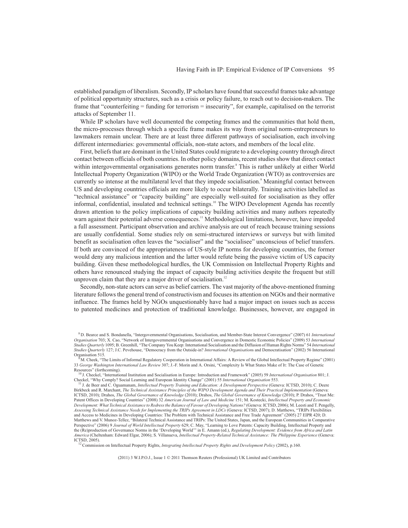established paradigm of liberalism. Secondly, IP scholars have found that successful frames take advantage of political opportunity structures, such as a crisis or policy failure, to reach out to decision-makers. The frame that "counterfeiting = funding for terrorism = insecurity", for example, capitalised on the terrorist attacks of September 11.

While IP scholars have well documented the competing frames and the communities that hold them, the micro-processes through which a specific frame makes its way from original norm-entrepreneurs to lawmakers remain unclear. There are at least three different pathways of socialisation, each involving different intermediaries: governmental officials, non-state actors, and members of the local elite.

First, beliefs that are dominant in the United States could migrate to a developing country through direct contact between officials of both countries. In other policy domains, recent studies show that direct contact within intergovernmental organisations generates norm transfer.<sup>8</sup> This is rather unlikely at either World Intellectual Property Organization (WIPO) or the World Trade Organization (WTO) as controversies are currently so intense at the multilateral level that they impede socialisation.<sup>9</sup> Meaningful contact between US and developing countries officials are more likely to occur bilaterally. Training activities labelled as "technical assistance" or "capacity building" are especially well-suited for socialisation as they offer informal, confidential, insulated and technical settings.<sup>10</sup> The WIPO Development Agenda has recently drawn attention to the policy implications of capacity building activities and many authors repeatedly warn against their potential adverse consequences.<sup>11</sup> Methodological limitations, however, have impeded a full assessment. Participant observation and archive analysis are out of reach because training sessions are usually confidential. Some studies rely on semi-structured interviews or surveys but with limited benefit as socialisation often leaves the "socialiser" and the "socialisee" unconscious of belief transfers. If both are convinced of the appropriateness of US-style IP norms for developing countries, the former would deny any malicious intention and the latter would refute being the passive victim of US capacity building. Given these methodological hurdles, the UK Commission on Intellectual Property Rights and others have renounced studying the impact of capacity building activities despite the frequent but still unproven claim that they are a major driver of socialisation.<sup>12</sup>

Secondly, non-state actors can serve as belief carriers. The vast majority of the above-mentioned framing literature follows the general trend of constructivism and focuses its attention on NGOs and their normative influence. The frames held by NGOs unquestionably have had a major impact on issues such as access to patented medicines and protection of traditional knowledge. Businesses, however, are engaged in

<sup>12</sup> Commission on Intellectual Property Rights, *Integrating Intellectual Property Rights and Development Policy* (2002), p.160.

<sup>8</sup> D. Bearce and S. Bondanella, "Intergovernmental Organisations, Socialisation, and Member-State Interest Convergence" (2007) 61 *International Organisation* 703; X. Cao, "Network of Intergovernmental Organisations and Convergence in Domestic Economic Policies" (2009) 53 *International Studies Quarterly* 1095; B. Greenhill, "The Company You Keep: International Socialisation and the Diffusion of Human Rights Norms" 54 *International Studies Quarterly* 127; J.C. Pevehouse, "Democracy from the Outside-in? *International Organisation*s and Democratisation" (2002) 56 International Organisation 515.

<sup>9</sup>M. Cheek, "The Limits of Informal Regulatory Cooperation in International Affairs: A Review of the Global Intellectual Property Regime" (2001) 33 *George Washington International Law Review* 307; J.-F. Morin and A. Orsini, "Complexity Is What States Make of It: The Case of Genetic Resources" (forthcoming).

<sup>10</sup> J. Checkel, "International Institution and Socialisation in Europe: Introduction and Framework" (2005) 59 *International Organisation* 801; J. Checkel, "Why Comply? Social Learning and European Identity Change" (2001) 55 International Organisation 553.<br><sup>11</sup> J. de Beer and C. Oguamanam, *Intellectual Property Training and Education: A Development Perspective (Gene* 

Birkbeck and R. Marchant, *The Technical Assistance Principles of the WIPO Development Agenda and Their Practical Implementation* (Geneva: ICTSD, 2010); Drahos, *The Global Governance of Knowledge* (2010); Drahos, *The Global Governance of Knowledge* (2010); P. Drahos, "Trust Me: Patent Offices in Developing Countries" (2008) 32 *American Journal of Law and Medicine* 151; M. Kostecki, *Intellectual Property and Economic Development: What Technical Assistance to Redress the Balance of Favour of Developing Nations?* (Geneva: ICTSD, 2006); M. Leesti and T. Pengelly, *Assessing Technical Assistance Needs for Implementing the TRIPs Agreement in LDCs* (Geneva: ICTSD, 2007); D. Matthews, "TRIPs Flexibilities and Access to Medicines in Developing Countries: The Problem with Technical Assistance and Free Trade Agreement" (2005) 27 EIPR 420; D. Matthews and V. Munoz-Tellez, "Bilateral Technical Assistance and TRIPs: The United States, Japan, and the European Communities in Comparative Perspective" (2006) 9 *Journal of World Intellectual Property* 629; C. May, "Learning to Love Patents: Capacity Building, Intellectual Property and the (Re)production of Governance Norms in the 'Developing World'" in E. Amann (ed.), *Regulating Development: Evidence from Africa and Latin America* (Cheltenham: Edward Elgar, 2006); S. Villanueva, *Intellectual Property-Related Technical Assistance: The Philippine Experience* (Geneva: ICTSD, 2005).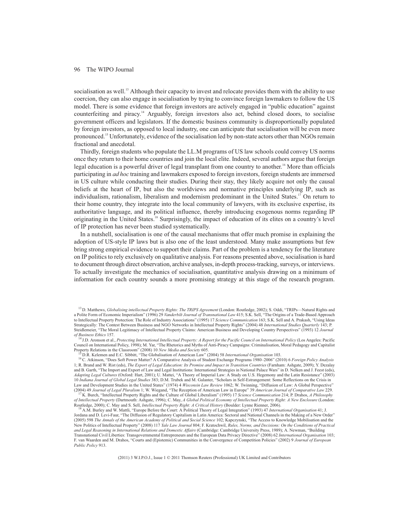socialisation as well.<sup>13</sup> Although their capacity to invest and relocate provides them with the ability to use coercion, they can also engage in socialisation by trying to convince foreign lawmakers to follow the US model. There is some evidence that foreign investors are actively engaged in "public education" against counterfeiting and piracy.<sup>14</sup> Arguably, foreign investors also act, behind closed doors, to socialise government officers and legislators. If the domestic business community is disproportionally populated by foreign investors, as opposed to local industry, one can anticipate that socialisation will be even more pronounced.<sup>15</sup> Unfortunately, evidence of the socialisation led by non-state actors other than NGOs remain fractional and anecdotal.

Thirdly, foreign students who populate the LL.M programs of US law schools could convey US norms once they return to their home countries and join the local elite. Indeed, several authors argue that foreign legal education is a powerful driver of legal transplant from one country to another.<sup>16</sup> More than officials participating in *ad hoc* training and lawmakers exposed to foreign investors, foreign students are immersed in US culture while conducting their studies. During their stay, they likely acquire not only the causal beliefs at the heart of IP, but also the worldviews and normative principles underlying IP, such as individualism, rationalism, liberalism and modernism predominant in the United States.<sup>17</sup> On return to their home country, they integrate into the local community of lawyers, with its exclusive expertise, its authoritative language, and its political influence, thereby introducing exogenous norms regarding IP originating in the United States.<sup>18</sup> Surprisingly, the impact of education of its elites on a country's level of IP protection has never been studied systematically.

In a nutshell, socialisation is one of the causal mechanisms that offer much promise in explaining the adoption of US-style IP laws but is also one of the least understood. Many make assumptions but few bring strong empirical evidence to support their claims. Part of the problem is a tendency for the literature on IP politics to rely exclusively on qualitative analysis. For reasons presented above, socialisation is hard to document through direct observation, archive analyses, in-depth process-tracking, surveys, or interviews. To actually investigate the mechanics of socialisation, quantitative analysis drawing on a minimum of information for each country sounds a more promising strategy at this stage of the research program.

<sup>14</sup> J.D. Aronson et al., *Protecting International Intellectual Property: A Report for the Pacific Council on International Policy* (Los Angeles: Pacific Council on International Policy, 1998); M. Yar, "The Rhetorics and Myths of Anti-Piracy Campaigns: Criminalisation, Moral Pedagogy and Capitalist Property Relations in the Classroom" (2008) 10 *New Media and Society* 605.

<sup>15</sup> D.R. Kelemen and E.C. Sibbitt, "The Globalisation of American Law" (2004) 58 *International Organisation* 103.

<sup>13</sup> D. Matthews, *Globalising intellectual Property Rights: The TRIPS Agreement* (London: Routledge, 2002); S. Oddi, "TRIPs—Natural Rights and a Polite Form of Economic Imperialism" (1996) 29 *Vanderbilt Journal of Transnational Law* 415; S.K. Sell, "The Origins of a Trade-Based Approach to Intellectual Property Protection: The Role of Industry Associations" (1995) 17 *Science Communication* 163; S.K. Sell and A. Prakash, "Using Ideas Strategically: The Contest Between Business and NGO Networks in Intellectual Property Rights" (2004) 48 *International Studies Quarterly* 143; P. Steidlemeier, "The Moral Legitimacy of Intellectual Property Claims: American Business and Developing Country Perspectives" (1993) 12 *Journal of Business Ethics* 157.

<sup>16</sup> C. Atkinson, "Does Soft Power Matter? A Comparative Analysis of Student Exchange Programs 1980–2006" (2010) 6 *Foreign Policy Analysis* 1; R. Brand and W. Rist (eds), *The Export of Legal Education: Its Promise and Impact in Transition Countries* (Farnham: Ashgate, 2009); Y. Dezalay and B. Garth, "The Import and Export of Law and Legal Institutions: International Strategies in National Palace Wars" in D. Nelken and J. Feest (eds), *Adapting Legal Cultures* (Oxford: Hart, 2001); U. Mattei, "A Theory of Imperial Law: A Study on U.S. Hegemony and the Latin Resistance" (2003) 10 *Indiana Journal of Global Legal Studies* 383; D.M. Trubek and M. Galanter, "Scholars in Self-Estrangement: Some Reflections on the Crisis in Law and Development Studies in the United States" (1974) 4 *Wisconsin Law Review* 1062; W. Twinning, "Diffusion of Law: A Global Perspective" (2004) 49 *Journal of Legal Pluralism* 1; W. Wiegand, "The Reception of American Law in Europe" 39 *American Journal of Comparative Law* 229.

<sup>17</sup> K. Burch, "Intellectual Property Rights and the Culture of Global Liberalism" (1995) 17 *Science Communication* 214; P. Drahos, *A Philosophy of Intellectual Property* (Dartmouth: Ashgate, 1996); C. May, *A Global Political Economy of Intellectual Property Right: A New Enclosure* (London: Routledge, 2000); C. May and S. Sell, *Intellectual Property Right: A Critical History* (Boulder: Lynne Rienner, 2006).

<sup>18</sup> A.M. Burley and W. Mattli, "Europe Before the Court: A Political Theory of Legal Integration" (1993) 47 *International Organisation* 41; J. Jordana and D. Levi-Faur, "The Diffusion of Regulatory Capitalism in Latin America: Sectoral and National Channels in the Making of a New Order" (2005) 598 *The Annals of the American Academy of Political and Social Science* 102; Kapczynski, "The Access to Knowledge Mobilisation and the New Politics of Intellectual Property" (2008) 117 *Yale Law Journal* 804; F. Kratochwil, *Rules, Norms, and Decisions: On the Conditions of Practical and Legal Reasoning in International Relations and Domestic Affairs* (Cambridge: Cambridge University Press, 1989); A. Newman, "Building Transnational Civil Liberties: Transgovernmental Entrepreneurs and the European Data Privacy Directive" (2008) 62 *International Organisation* 103; F. van Waarden and M. Drahos, "Courts and (Epistemic) Communities in the Convergence of Competition Policies" (2002) 9 *Journal of European Public Policy* 913.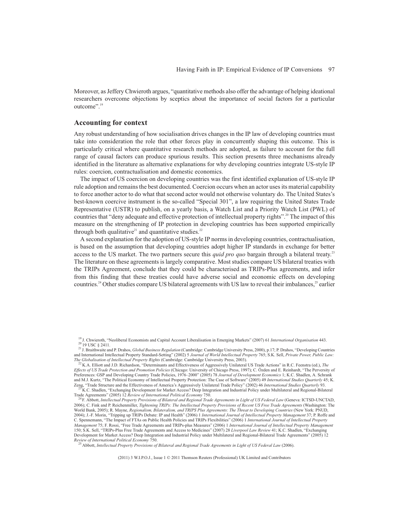Moreover, as Jeffery Chwieroth argues, "quantitative methods also offer the advantage of helping ideational researchers overcome objections by sceptics about the importance of social factors for a particular outcome".<sup>19</sup>

### **Accounting for context**

Any robust understanding of how socialisation drives changes in the IP law of developing countries must take into consideration the role that other forces play in concurrently shaping this outcome. This is particularly critical where quantitative research methods are adopted, as failure to account for the full range of causal factors can produce spurious results. This section presents three mechanisms already identified in the literature as alternative explanations for why developing countries integrate US-style IP rules: coercion, contractualisation and domestic economics.

The impact of US coercion on developing countries was the first identified explanation of US-style IP rule adoption and remains the best documented. Coercion occurs when an actor uses its material capability to force another actor to do what that second actor would not otherwise voluntary do. The United States's best-known coercive instrument is the so-called "Special 301", a law requiring the United States Trade Representative (USTR) to publish, on a yearly basis, a Watch List and a Priority Watch List (PWL) of countries that "deny adequate and effective protection of intellectual property rights".<sup>20</sup> The impact of this measure on the strengthening of IP protection in developing countries has been supported empirically through both qualitative<sup>21</sup> and quantitative studies.<sup>22</sup>

A second explanation for the adoption of US-style IP norms in developing countries, contractualisation, is based on the assumption that developing countries adopt higher IP standards in exchange for better access to the US market. The two partners secure this *quid pro quo* bargain through a bilateral treaty.<sup>23</sup> The literature on these agreements is largely comparative. Most studies compare US bilateral treaties with the TRIPs Agreement, conclude that they could be characterised as TRIPs-Plus agreements, and infer from this finding that these treaties could have adverse social and economic effects on developing countries.<sup>24</sup> Other studies compare US bilateral agreements with US law to reveal their imbalances,<sup>25</sup> earlier

<sup>25</sup> Abbott, *Intellectual Property Provisions of Bilateral and Regional Trade Agreements in Light of US Federal Law* (2006).

<sup>19</sup> J. Chwieroth, "Neoliberal Economists and Capital Account Liberalisation in Emerging Markets" (2007) 61 *International Organisation* 443.  $^{20}$  19 USC § 2411.

<sup>21</sup> J. Braithwaite and P. Drahos, *Global Business Regulation* (Cambridge: Cambridge University Press, 2000), p.17; P. Drahos, "Developing Countries and International Intellectual Property Standard-Setting" (2002) 5 *Journal of World Intellectual Property* 765; S.K. Sell, *Private Power, Public Law: The Globalisation of Intellectual Property Rights* (Cambridge: Cambridge University Press, 2003).

<sup>22</sup> K.A. Elliott and J.D. Richardson, "Determinants and Effectiveness of Aggressively Unilateral US Trade Actions" in R.C. Feenstra (ed.), *The Effects of US Trade Protection and Promotion Policies* (Chicago: University of Chicago Press, 1997); C. Özden and E. Reinhardt, "The Perversity of Preferences: GSP and Developing Country Trade Policies, 1976–2000" (2005) 78 *Journal of Development Economics* 1; K.C. Shadlen, A. Schrank and M.J. Kurtz, "The Political Economy of Intellectual Property Protection: The Case of Software" (2005) 49 *International Studies Quarterly* 45; K. Zeng, "Trade Structure and the Effectiveness of America's Aggressively Unilateral Trade Policy" (2002) 46 *International Studies Quarterly* 93.

<sup>23</sup> K.C. Shadlen, "Exchanging Development for Market Access? Deep Integration and Industrial Policy under Multilateral and Regional-Bilateral Trade Agreements" (2005) 12 *Review of International Political Economy* 750.

<sup>24</sup> F. Abbott, *Intellectual Property Provisions of Bilateral and Regional Trade Agreements in Light of US Federal Law* (Geneva: ICTSD-UNCTAD, 2006); C. Fink and P. Reichenmiller, *Tightening TRIPs: The Intellectual Property Provisions of Recent US Free Trade Agreements* (Washington: The World Bank, 2005); R. Mayne, *Regionalism, Bilateralism, and TRIPS Plus Agreements: The Threat to Developing Countries* (New York: PNUD, 2004); J.-F. Morin, "Tripping up TRIPs Debate: IP and Health" (2006) 1 *International Journal of Intellectual Property Management* 37; P. Roffe and C. Spennemann, "The Impact of FTAs on Public Health Policies and TRIPs Flexibilities" (2006) 1 *International Journal of Intellectual Property Management* 75; F. Rossi, "Free Trade Agreements and TRIPs-plus Measures" (2006) 1 *International Journal of Intellectual Property Management* 150; S.K. Sell, "TRIPs-Plus Free Trade Agreements and Access to Medicines" (2007) 28 *Liverpool Law Review* 41; K.C. Shadlen, "Exchanging Development for Market Access? Deep Integration and Industrial Policy under Multilateral and Regional-Bilateral Trade Agreements" (2005) 12 *Review of International Political Economy* 750.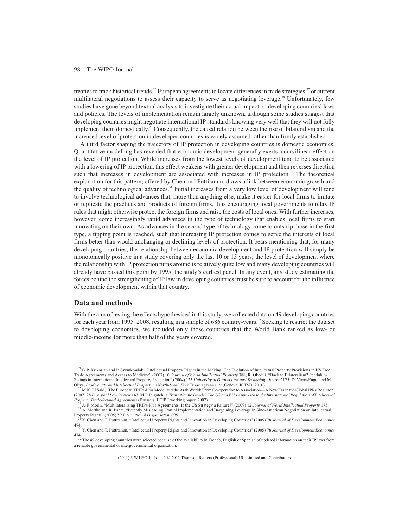treaties to track historical trends,<sup>26</sup> European agreements to locate differences in trade strategies,<sup>27</sup> or current multilateral negotiations to assess their capacity to serve as negotiating leverage.<sup>28</sup> Unfortunately, few studies have gone beyond textual analysis to investigate their actual impact on developing countries' laws and policies. The levels of implementation remain largely unknown, although some studies suggest that developing countries might negotiate international IP standards knowing very well that they will not fully implement them domestically.<sup>29</sup> Consequently, the causal relation between the rise of bilateralism and the increased level of protection in developed countries is widely assumed rather than firmly established.

A third factor shaping the trajectory of IP protection in developing countries is domestic economics. Quantitative modelling has revealed that economic development generally exerts a curvilinear effect on the level of IP protection. While increases from the lowest levels of development tend to be associated with a lowering of IP protection, this effect weakens with greater development and then reverses direction such that increases in development are associated with increases in IP protection.<sup>30</sup> The theoretical explanation for this pattern, offered by Chen and Puttitanun, draws a link between economic growth and the quality of technological advances.<sup>31</sup> Initial increases from a very low level of development will tend to involve technological advances that, more than anything else, make it easier for local firms to imitate or replicate the practices and products of foreign firms, thus encouraging local governments to relax IP rules that might otherwise protect the foreign firms and raise the costs of local ones. With further increases, however, come increasingly rapid advances in the type of technology that enables local firms to start innovating on their own. As advances in the second type of technology come to outstrip those in the first type, a tipping point is reached, such that increasing IP protection comes to serve the interests of local firms better than would unchanging or declining levels of protection. It bears mentioning that, for many developing countries, the relationship between economic development and IP protection will simply be monotonically positive in a study covering only the last 10 or 15 years; the level of development where the relationship with IP protection turns around is relatively quite low and many developing countries will already have passed this point by 1995, the study's earliest panel. In any event, any study estimating the forces behind the strengthening of IP law in developing countries must be sure to account for the influence of economic development within that country.

#### **Data and methods**

With the aim of testing the effects hypothesised in this study, we collected data on 49 developing countries for each year from 1995–2008, resulting in a sample of 686 country-years.<sup>32</sup> Seeking to restrict the dataset to developing economies, we included only those countries that the World Bank ranked as low- or middle-income for more than half of the years covered.

<sup>&</sup>lt;sup>26</sup> G.P. Krikorian and P. Szymkowiak, "Intellectual Property Rights in the Making: The Evolution of Intellectual Property Provisions in US Free Trade Agreements and Access to Medicine" (2007) 10 *Journal of World Intellectual Property* 388; R. Okediji, "Back to Bilateralism? Pendulum Swings in International Intellectual Property Protection" (2004) 125 *University of Ottawa Law and Technology Journal* 125; D. Vivas-Engui and M.J. Oliva, *Biodiversity and Intellectual Property in North-South Free Trade Agreements* (Geneva: ICTSD, 2010).

<sup>&</sup>lt;sup>7</sup> M.K. El Said, "The European TRIPs-Plus Model and the Arab World: From Co-operation to Association—A New Era in the Global IPRs Regime?" (2007) 28 *Liverpool Law Review* 143; M.P. Pugatch, *A Transatlantic Divide? The US and EU's Approach to the International Regulation of Intellectual Property Trade-Related Agreements* (Brussels: ECIPE working paper, 2007).

<sup>28</sup> J.-F. Morin, "Multilateralising TRIPs-Plus Agreements: Is the US Strategy a Failure?" (2009) 12 *Journal of World Intellectual Property* 175. <sup>29</sup> A. Mertha and R. Pahre, "Patently Misleading: Partial Implementation and Bargaining Leverage in Sino-American Negotiation on Intellectual Property Rights" (2005) 59 *International Organisation* 695.

<sup>30</sup> Y. Chen and T. Puttitanun, "Intellectual Property Rights and Innovation in Developing Countries" (2005) 78 *Journal of Development Economics*

<sup>474.</sup> <sup>31</sup> Y. Chen and T. Puttitanun, "Intellectual Property Rights and Innovation in Developing Countries" (2005) 78 *Journal of Development Economics*

<sup>474.</sup> <sup>32</sup> The 49 developing countries were selected because of the availability in French, English or Spanish of updated information on their IP laws from a reliable governmental or intergovernmental organisation.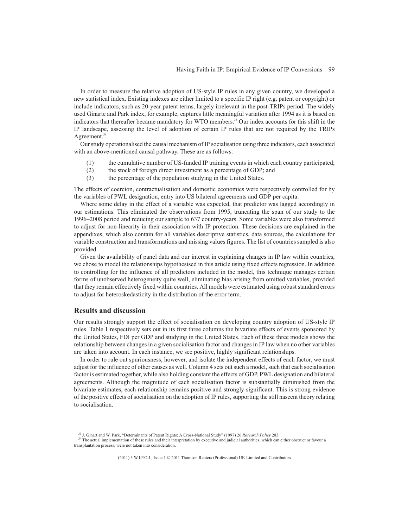In order to measure the relative adoption of US-style IP rules in any given country, we developed a new statistical index. Existing indexes are either limited to a specific IP right (e.g. patent or copyright) or include indicators, such as 20-year patent terms, largely irrelevant in the post-TRIPs period. The widely used Ginarte and Park index, for example, captures little meaningful variation after 1994 as it is based on indicators that thereafter became mandatory for WTO members.<sup>33</sup> Our index accounts for this shift in the IP landscape, assessing the level of adoption of certain IP rules that are not required by the TRIPs Agreement.<sup>34</sup>

Our study operationalised the causal mechanism of IP socialisation using three indicators, each associated with an above-mentioned causal pathway. These are as follows:

- (1) the cumulative number of US-funded IP training events in which each country participated;
- (2) the stock of foreign direct investment as a percentage of GDP; and
- (3) the percentage of the population studying in the United States.

The effects of coercion, contractualisation and domestic economics were respectively controlled for by the variables of PWL designation, entry into US bilateral agreements and GDP per capita.

Where some delay in the effect of a variable was expected, that predictor was lagged accordingly in our estimations. This eliminated the observations from 1995, truncating the span of our study to the 1996–2008 period and reducing our sample to 637 country-years. Some variables were also transformed to adjust for non-linearity in their association with IP protection. These decisions are explained in the appendixes, which also contain for all variables descriptive statistics, data sources, the calculations for variable construction and transformations and missing values figures. The list of countries sampled is also provided.

Given the availability of panel data and our interest in explaining changes in IP law within countries, we chose to model the relationships hypothesised in this article using fixed effects regression. In addition to controlling for the influence of all predictors included in the model, this technique manages certain forms of unobserved heterogeneity quite well, eliminating bias arising from omitted variables, provided that they remain effectively fixed within countries. All models were estimated using robust standard errors to adjust for heteroskedasticity in the distribution of the error term.

#### **Results and discussion**

Our results strongly support the effect of socialisation on developing country adoption of US-style IP rules. Table 1 respectively sets out in its first three columns the bivariate effects of events sponsored by the United States, FDI per GDP and studying in the United States. Each of these three models shows the relationship between changes in a given socialisation factor and changes in IP law when no other variables are taken into account. In each instance, we see positive, highly significant relationships.

In order to rule out spuriousness, however, and isolate the independent effects of each factor, we must adjust for the influence of other causes as well. Column 4 sets out such a model, such that each socialisation factor is estimated together, while also holding constant the effects of GDP, PWL designation and bilateral agreements. Although the magnitude of each socialisation factor is substantially diminished from the bivariate estimates, each relationship remains positive and strongly significant. This is strong evidence of the positive effects of socialisation on the adoption of IP rules, supporting the still nascent theory relating to socialisation.

<sup>33</sup> J. Ginart and W. Park, "Determinants of Patent Rights: A Cross-National Study" (1997) 26 *Research Policy* 283.

<sup>&</sup>lt;sup>34</sup> The actual implementation of these rules and their interpretation by executive and judicial authorities, which can either obstruct or favour a transplantation process, were not taken into consideration.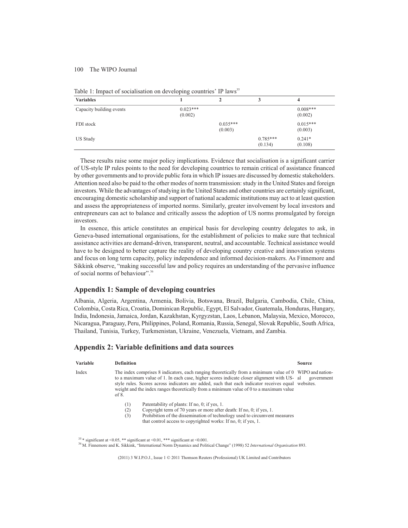|  | Table 1: Impact of socialisation on developing countries' IP laws <sup>35</sup> |  |  |
|--|---------------------------------------------------------------------------------|--|--|
|  |                                                                                 |  |  |

| <b>Variables</b>         |                       |                       |                       | 4                     |
|--------------------------|-----------------------|-----------------------|-----------------------|-----------------------|
| Capacity building events | $0.023***$<br>(0.002) |                       |                       | $0.008***$<br>(0.002) |
| FDI stock                |                       | $0.035***$<br>(0.003) |                       | $0.015***$<br>(0.003) |
| US Study                 |                       |                       | $0.785***$<br>(0.134) | $0.241*$<br>(0.108)   |

These results raise some major policy implications. Evidence that socialisation is a significant carrier of US-style IP rules points to the need for developing countries to remain critical of assistance financed by other governments and to provide public fora in which IP issues are discussed by domestic stakeholders. Attention need also be paid to the other modes of norm transmission: study in the United States and foreign investors. While the advantages of studying in the United States and other countries are certainly significant, encouraging domestic scholarship and support of national academic institutions may act to at least question and assess the appropriateness of imported norms. Similarly, greater involvement by local investors and entrepreneurs can act to balance and critically assess the adoption of US norms promulgated by foreign investors.

In essence, this article constitutes an empirical basis for developing country delegates to ask, in Geneva-based international organisations, for the establishment of policies to make sure that technical assistance activities are demand-driven, transparent, neutral, and accountable. Technical assistance would have to be designed to better capture the reality of developing country creative and innovation systems and focus on long term capacity, policy independence and informed decision-makers. As Finnemore and Sikkink observe, "making successful law and policy requires an understanding of the pervasive influence of social norms of behaviour".<sup>36</sup>

## **Appendix 1: Sample of developing countries**

Albania, Algeria, Argentina, Armenia, Bolivia, Botswana, Brazil, Bulgaria, Cambodia, Chile, China, Colombia, Costa Rica, Croatia, Dominican Republic, Egypt, El Salvador, Guatemala, Honduras, Hungary, India, Indonesia, Jamaica, Jordan, Kazakhstan, Kyrgyzstan, Laos, Lebanon, Malaysia, Mexico, Morocco, Nicaragua, Paraguay, Peru, Philippines, Poland, Romania, Russia, Senegal, Slovak Republic, South Africa, Thailand, Tunisia, Turkey, Turkmenistan, Ukraine, Venezuela, Vietnam, and Zambia.

#### **Appendix 2: Variable definitions and data sources**

| Variable | <b>Definition</b>                                                                                                                                                                                                                                                                                                                                                                                                 | <b>Source</b> |  |
|----------|-------------------------------------------------------------------------------------------------------------------------------------------------------------------------------------------------------------------------------------------------------------------------------------------------------------------------------------------------------------------------------------------------------------------|---------------|--|
| Index    | The index comprises 8 indicators, each ranging theoretically from a minimum value of 0 WIPO and nation-<br>to a maximum value of 1. In each case, higher scores indicate closer alignment with US- al<br>style rules. Scores across indicators are added, such that each indicator receives equal websites.<br>weight and the index ranges theoretically from a minimum value of 0 to a maximum value<br>of $8$ . | government    |  |
|          | Patentability of plants: If no, 0; if yes, 1.<br>$^{(1)}$<br>Copyright term of 70 years or more after death: If no, 0; if yes, 1.<br>(2)<br>Prohibition of the dissemination of technology used to circumvent measures<br>(3)<br>that control access to copyrighted works: If no, 0; if yes, 1.                                                                                                                   |               |  |

<sup>35</sup> \* significant at <0.05, \*\* significant at <0.01, \*\*\* significant at <0.001.

<sup>36</sup> M. Finnemore and K. Sikkink, "International Norm Dynamics and Political Change" (1998) 52 *International Organisation* 893.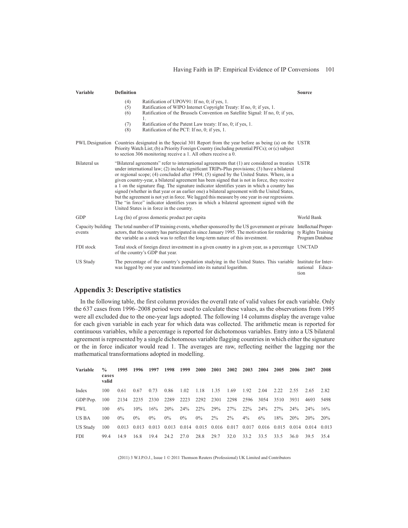#### Having Faith in IP: Empirical Evidence of IP Conversions 101

| Variable            | <b>Definition</b>                                                                                                                                                                                                                                                                                                                                                                                                                                                                                                                                                                                                                                                                                                                                                                                                                       | Source                                                                |
|---------------------|-----------------------------------------------------------------------------------------------------------------------------------------------------------------------------------------------------------------------------------------------------------------------------------------------------------------------------------------------------------------------------------------------------------------------------------------------------------------------------------------------------------------------------------------------------------------------------------------------------------------------------------------------------------------------------------------------------------------------------------------------------------------------------------------------------------------------------------------|-----------------------------------------------------------------------|
|                     | Ratification of UPOV91: If no, 0; if yes, 1.<br>(4)<br>Ratification of WIPO Internet Copyright Treaty: If no, 0; if yes, 1.<br>(5)<br>Ratification of the Brussels Convention on Satellite Signal: If no, 0; if yes,<br>(6)<br>1.<br>(7)<br>Ratification of the Patent Law treaty: If no, 0; if yes, 1.<br>Ratification of the PCT: If no, 0; if yes, 1.<br>(8)                                                                                                                                                                                                                                                                                                                                                                                                                                                                         |                                                                       |
|                     | PWL Designation Countries designated in the Special 301 Report from the year before as being (a) on the USTR<br>Priority Watch List; (b) a Priority Foreign Country (including potential PFCs); or (c) subject<br>to section 306 monitoring receive a 1. All others receive a 0.                                                                                                                                                                                                                                                                                                                                                                                                                                                                                                                                                        |                                                                       |
| <b>Bilateral</b> us | "Bilateral agreements" refer to international agreements that (1) are considered as treaties USTR<br>under international law; (2) include significant TRIPs-Plus provisions; (3) have a bilateral<br>or regional scope; (4) concluded after 1994; (5) signed by the United States. Where, in a<br>given country-year, a bilateral agreement has been signed that is not in force, they receive<br>a 1 on the signature flag. The signature indicator identifies years in which a country has<br>signed (whether in that year or an earlier one) a bilateral agreement with the United States,<br>but the agreement is not yet in force. We lagged this measure by one year in our regressions.<br>The "in force" indicator identifies years in which a bilateral agreement signed with the<br>United States is in force in the country. |                                                                       |
| <b>GDP</b>          | Log (In) of gross domestic product per capital                                                                                                                                                                                                                                                                                                                                                                                                                                                                                                                                                                                                                                                                                                                                                                                          | World Bank                                                            |
| events              | Capacity building The total number of IP training events, whether sponsored by the US government or private<br>actors, that the country has participated in since January 1995. The motivation for rendering<br>the variable as a stock was to reflect the long-term nature of this investment.                                                                                                                                                                                                                                                                                                                                                                                                                                                                                                                                         | <b>Intellectual Proper-</b><br>ty Rights Training<br>Program Database |
| FDI stock           | Total stock of foreign direct investment in a given country in a given year, as a percentage UNCTAD<br>of the country's GDP that year.                                                                                                                                                                                                                                                                                                                                                                                                                                                                                                                                                                                                                                                                                                  |                                                                       |
| <b>US Study</b>     | The percentage of the country's population studying in the United States. This variable Institute for Inter-<br>was lagged by one year and transformed into its natural logarithm.                                                                                                                                                                                                                                                                                                                                                                                                                                                                                                                                                                                                                                                      | national<br>Educa-<br>tion                                            |

# **Appendix 3: Descriptive statistics**

In the following table, the first column provides the overall rate of valid values for each variable. Only the 637 cases from 1996–2008 period were used to calculate these values, as the observations from 1995 were all excluded due to the one-year lags adopted. The following 14 columns display the average value for each given variable in each year for which data was collected. The arithmetic mean is reported for continuous variables, while a percentage is reported for dichotomous variables. Entry into a US bilateral agreement is represented by a single dichotomous variable flagging countries in which either the signature or the in force indicator would read 1. The averages are raw, reflecting neither the lagging nor the mathematical transformations adopted in modelling.

| Variable | $\frac{0}{0}$<br>cases<br>valid | 1995  | 1996  | - 1997 | 1998                                                                                | 1999  | <b>2000</b>         | <b>2001</b> | 2002      | 2003   | 2004      | 2005 | 2006            | 2007                | 2008       |
|----------|---------------------------------|-------|-------|--------|-------------------------------------------------------------------------------------|-------|---------------------|-------------|-----------|--------|-----------|------|-----------------|---------------------|------------|
| Index    | 100                             | 0.61  | 0.67  | 0.73   | 0.86                                                                                |       | 1.02 1.18 1.35 1.69 |             |           | 1.92   | 2.04      |      |                 | 2.22 2.55 2.65 2.82 |            |
| GDP/Pop. | 100                             |       |       |        | 2134 2235 2330 2289 2223 2292 2301                                                  |       |                     |             | 2298 2596 |        | 3054 3510 |      | 3931            | 4693                | 5498       |
| PWL.     | 100                             | 6%    | 10%   | $16\%$ | <b>20%</b>                                                                          | 24%   | 22%                 | 29%         | 27%       | $22\%$ | 24%       | 27%  | 24 <sup>%</sup> | 24%                 | 16%        |
| US BA    | 100                             | $0\%$ | $0\%$ | $0\%$  | $0\%$                                                                               | $0\%$ | $0\%$               | $2\%$       | $2\%$     | $4\%$  | 6%        | 18%  | 20 <sup>%</sup> | 20 <sup>%</sup>     | <b>20%</b> |
| US Study | 100                             |       |       |        | 0.013 0.013 0.013 0.013 0.014 0.015 0.016 0.017 0.017 0.016 0.015 0.014 0.014 0.013 |       |                     |             |           |        |           |      |                 |                     |            |
| FDI.     | 99.4                            | 14.9  | 16.8  | 19.4   | 24.2                                                                                | 27.0  | 28.8                | 29.7        | 32.0      | 33.2   | 33.5      | 33.5 | 36.0            | 39.5                | 35.4       |